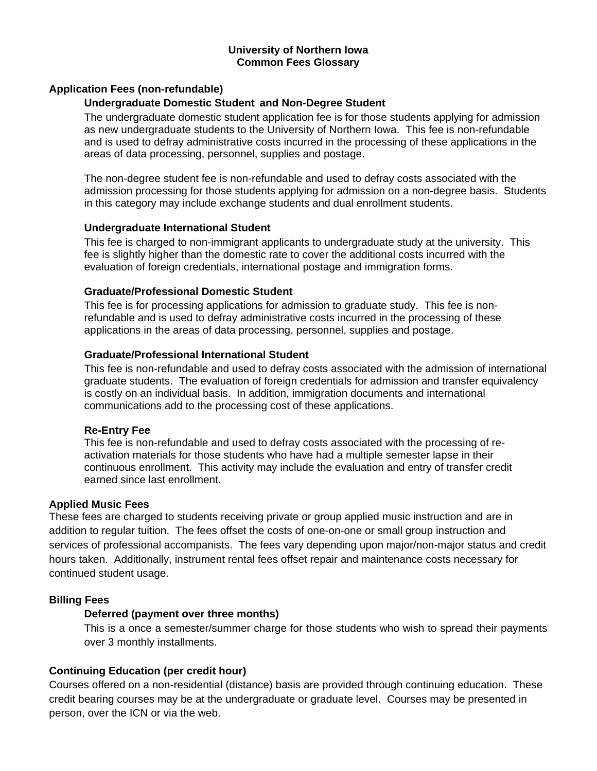### **University of Northern Iowa Common Fees Glossary**

# **Application Fees (non-refundable)**

### **Undergraduate Domestic Student and Non-Degree Student**

The undergraduate domestic student application fee is for those students applying for admission as new undergraduate students to the University of Northern Iowa. This fee is non-refundable and is used to defray administrative costs incurred in the processing of these applications in the areas of data processing, personnel, supplies and postage.

The non-degree student fee is non-refundable and used to defray costs associated with the admission processing for those students applying for admission on a non-degree basis. Students in this category may include exchange students and dual enrollment students.

#### **Undergraduate International Student**

This fee is charged to non-immigrant applicants to undergraduate study at the university. This fee is slightly higher than the domestic rate to cover the additional costs incurred with the evaluation of foreign credentials, international postage and immigration forms.

#### **Graduate/Professional Domestic Student**

This fee is for processing applications for admission to graduate study. This fee is nonrefundable and is used to defray administrative costs incurred in the processing of these applications in the areas of data processing, personnel, supplies and postage.

### **Graduate/Professional International Student**

This fee is non-refundable and used to defray costs associated with the admission of international graduate students. The evaluation of foreign credentials for admission and transfer equivalency is costly on an individual basis. In addition, immigration documents and international communications add to the processing cost of these applications.

#### **Re-Entry Fee**

This fee is non-refundable and used to defray costs associated with the processing of reactivation materials for those students who have had a multiple semester lapse in their continuous enrollment. This activity may include the evaluation and entry of transfer credit earned since last enrollment.

#### **Applied Music Fees**

These fees are charged to students receiving private or group applied music instruction and are in addition to regular tuition. The fees offset the costs of one-on-one or small group instruction and services of professional accompanists. The fees vary depending upon major/non-major status and credit hours taken. Additionally, instrument rental fees offset repair and maintenance costs necessary for continued student usage.

# **Billing Fees**

# **Deferred (payment over three months)**

This is a once a semester/summer charge for those students who wish to spread their payments over 3 monthly installments.

# **Continuing Education (per credit hour)**

Courses offered on a non-residential (distance) basis are provided through continuing education. These credit bearing courses may be at the undergraduate or graduate level. Courses may be presented in person, over the ICN or via the web.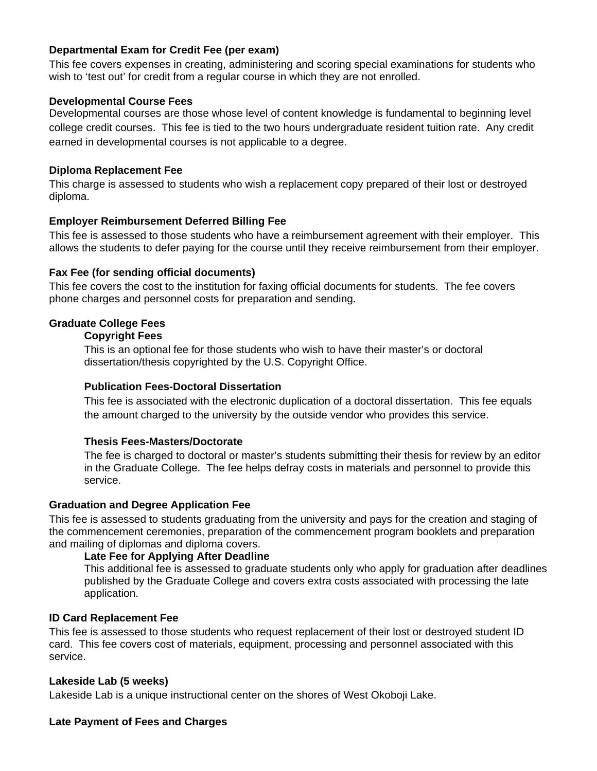# **Departmental Exam for Credit Fee (per exam)**

This fee covers expenses in creating, administering and scoring special examinations for students who wish to 'test out' for credit from a regular course in which they are not enrolled.

### **Developmental Course Fees**

Developmental courses are those whose level of content knowledge is fundamental to beginning level college credit courses. This fee is tied to the two hours undergraduate resident tuition rate. Any credit earned in developmental courses is not applicable to a degree.

## **Diploma Replacement Fee**

This charge is assessed to students who wish a replacement copy prepared of their lost or destroyed diploma.

### **Employer Reimbursement Deferred Billing Fee**

This fee is assessed to those students who have a reimbursement agreement with their employer. This allows the students to defer paying for the course until they receive reimbursement from their employer.

### **Fax Fee (for sending official documents)**

This fee covers the cost to the institution for faxing official documents for students. The fee covers phone charges and personnel costs for preparation and sending.

# **Graduate College Fees**

#### **Copyright Fees**

This is an optional fee for those students who wish to have their master's or doctoral dissertation/thesis copyrighted by the U.S. Copyright Office.

### **Publication Fees-Doctoral Dissertation**

This fee is associated with the electronic duplication of a doctoral dissertation. This fee equals the amount charged to the university by the outside vendor who provides this service.

# **Thesis Fees-Masters/Doctorate**

The fee is charged to doctoral or master's students submitting their thesis for review by an editor in the Graduate College. The fee helps defray costs in materials and personnel to provide this service.

### **Graduation and Degree Application Fee**

This fee is assessed to students graduating from the university and pays for the creation and staging of the commencement ceremonies, preparation of the commencement program booklets and preparation and mailing of diplomas and diploma covers.

### **Late Fee for Applying After Deadline**

This additional fee is assessed to graduate students only who apply for graduation after deadlines published by the Graduate College and covers extra costs associated with processing the late application.

# **ID Card Replacement Fee**

This fee is assessed to those students who request replacement of their lost or destroyed student ID card. This fee covers cost of materials, equipment, processing and personnel associated with this service.

#### **Lakeside Lab (5 weeks)**

Lakeside Lab is a unique instructional center on the shores of West Okoboji Lake.

# **Late Payment of Fees and Charges**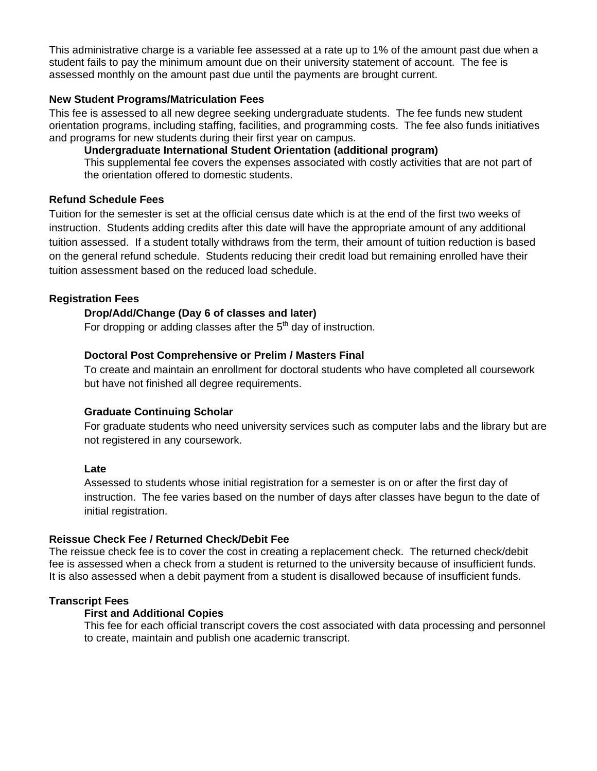This administrative charge is a variable fee assessed at a rate up to 1% of the amount past due when a student fails to pay the minimum amount due on their university statement of account. The fee is assessed monthly on the amount past due until the payments are brought current.

## **New Student Programs/Matriculation Fees**

This fee is assessed to all new degree seeking undergraduate students. The fee funds new student orientation programs, including staffing, facilities, and programming costs. The fee also funds initiatives and programs for new students during their first year on campus.

**Undergraduate International Student Orientation (additional program)** 

This supplemental fee covers the expenses associated with costly activities that are not part of the orientation offered to domestic students.

# **Refund Schedule Fees**

Tuition for the semester is set at the official census date which is at the end of the first two weeks of instruction. Students adding credits after this date will have the appropriate amount of any additional tuition assessed. If a student totally withdraws from the term, their amount of tuition reduction is based on the general refund schedule. Students reducing their credit load but remaining enrolled have their tuition assessment based on the reduced load schedule.

# **Registration Fees**

### **Drop/Add/Change (Day 6 of classes and later)**

For dropping or adding classes after the  $5<sup>th</sup>$  day of instruction.

### **Doctoral Post Comprehensive or Prelim / Masters Final**

To create and maintain an enrollment for doctoral students who have completed all coursework but have not finished all degree requirements.

#### **Graduate Continuing Scholar**

For graduate students who need university services such as computer labs and the library but are not registered in any coursework.

#### **Late**

Assessed to students whose initial registration for a semester is on or after the first day of instruction. The fee varies based on the number of days after classes have begun to the date of initial registration.

#### **Reissue Check Fee / Returned Check/Debit Fee**

The reissue check fee is to cover the cost in creating a replacement check. The returned check/debit fee is assessed when a check from a student is returned to the university because of insufficient funds. It is also assessed when a debit payment from a student is disallowed because of insufficient funds.

#### **Transcript Fees**

### **First and Additional Copies**

This fee for each official transcript covers the cost associated with data processing and personnel to create, maintain and publish one academic transcript.